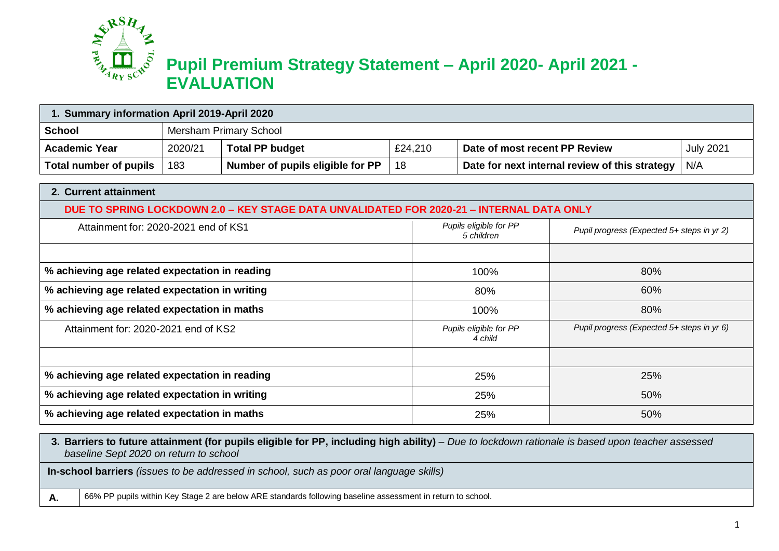

## **Pupil Premium Strategy Statement – April 2020- April 2021 - EVALUATION**

| 1. Summary information April 2019-April 2020 |         |                                  |         |                                                |                  |  |  |
|----------------------------------------------|---------|----------------------------------|---------|------------------------------------------------|------------------|--|--|
| <b>School</b>                                |         | Mersham Primary School           |         |                                                |                  |  |  |
| <b>Academic Year</b>                         | 2020/21 | <b>Total PP budget</b>           | £24,210 | Date of most recent PP Review                  | <b>July 2021</b> |  |  |
| Total number of pupils                       | 183     | Number of pupils eligible for PP | 18      | Date for next internal review of this strategy | N/A              |  |  |

| 2. Current attainment                                                                    |                                      |                                            |  |  |  |
|------------------------------------------------------------------------------------------|--------------------------------------|--------------------------------------------|--|--|--|
| DUE TO SPRING LOCKDOWN 2.0 - KEY STAGE DATA UNVALIDATED FOR 2020-21 - INTERNAL DATA ONLY |                                      |                                            |  |  |  |
| Attainment for: 2020-2021 end of KS1                                                     | Pupils eligible for PP<br>5 children | Pupil progress (Expected 5+ steps in yr 2) |  |  |  |
|                                                                                          |                                      |                                            |  |  |  |
| % achieving age related expectation in reading                                           | 100%                                 | 80%                                        |  |  |  |
| % achieving age related expectation in writing                                           | 80%                                  | 60%                                        |  |  |  |
| % achieving age related expectation in maths                                             | 100%                                 | 80%                                        |  |  |  |
| Attainment for: 2020-2021 end of KS2                                                     | Pupils eligible for PP<br>4 child    | Pupil progress (Expected 5+ steps in yr 6) |  |  |  |
|                                                                                          |                                      |                                            |  |  |  |
| % achieving age related expectation in reading                                           | 25%                                  | 25%                                        |  |  |  |
| % achieving age related expectation in writing                                           | 25%                                  | 50%                                        |  |  |  |
| % achieving age related expectation in maths                                             | 25%                                  | 50%                                        |  |  |  |

**3. Barriers to future attainment (for pupils eligible for PP, including high ability)** *– Due to lockdown rationale is based upon teacher assessed baseline Sept 2020 on return to school*

**In-school barriers** *(issues to be addressed in school, such as poor oral language skills)*

**A.** 66% PP pupils within Key Stage 2 are below ARE standards following baseline assessment in return to school.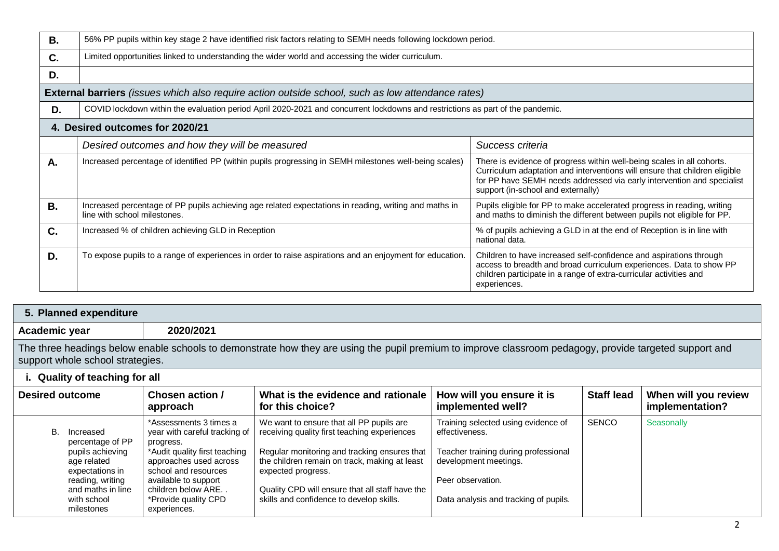| <b>B.</b> | 56% PP pupils within key stage 2 have identified risk factors relating to SEMH needs following lockdown period.                       |                                                                                                                                                                                                                                                                      |  |  |  |  |
|-----------|---------------------------------------------------------------------------------------------------------------------------------------|----------------------------------------------------------------------------------------------------------------------------------------------------------------------------------------------------------------------------------------------------------------------|--|--|--|--|
| C.        | Limited opportunities linked to understanding the wider world and accessing the wider curriculum.                                     |                                                                                                                                                                                                                                                                      |  |  |  |  |
| D.        |                                                                                                                                       |                                                                                                                                                                                                                                                                      |  |  |  |  |
|           | External barriers (issues which also require action outside school, such as low attendance rates)                                     |                                                                                                                                                                                                                                                                      |  |  |  |  |
| D.        | COVID lockdown within the evaluation period April 2020-2021 and concurrent lockdowns and restrictions as part of the pandemic.        |                                                                                                                                                                                                                                                                      |  |  |  |  |
|           | 4. Desired outcomes for 2020/21                                                                                                       |                                                                                                                                                                                                                                                                      |  |  |  |  |
|           | Desired outcomes and how they will be measured                                                                                        | Success criteria                                                                                                                                                                                                                                                     |  |  |  |  |
| Α.        | Increased percentage of identified PP (within pupils progressing in SEMH milestones well-being scales)                                | There is evidence of progress within well-being scales in all cohorts.<br>Curriculum adaptation and interventions will ensure that children eligible<br>for PP have SEMH needs addressed via early intervention and specialist<br>support (in-school and externally) |  |  |  |  |
| <b>B.</b> | Increased percentage of PP pupils achieving age related expectations in reading, writing and maths in<br>line with school milestones. | Pupils eligible for PP to make accelerated progress in reading, writing<br>and maths to diminish the different between pupils not eligible for PP.                                                                                                                   |  |  |  |  |
| C.        | Increased % of children achieving GLD in Reception                                                                                    | % of pupils achieving a GLD in at the end of Reception is in line with<br>national data.                                                                                                                                                                             |  |  |  |  |
| D.        | To expose pupils to a range of experiences in order to raise aspirations and an enjoyment for education.                              | Children to have increased self-confidence and aspirations through<br>access to breadth and broad curriculum experiences. Data to show PP<br>children participate in a range of extra-curricular activities and<br>experiences.                                      |  |  |  |  |

| 5. Planned expenditure                                                                                                                                                                      |                                                                                                                                                                                 |                                                                                                                                                                                                                 |                                                                                                                                             |                   |                                         |  |
|---------------------------------------------------------------------------------------------------------------------------------------------------------------------------------------------|---------------------------------------------------------------------------------------------------------------------------------------------------------------------------------|-----------------------------------------------------------------------------------------------------------------------------------------------------------------------------------------------------------------|---------------------------------------------------------------------------------------------------------------------------------------------|-------------------|-----------------------------------------|--|
| Academic year                                                                                                                                                                               | 2020/2021                                                                                                                                                                       |                                                                                                                                                                                                                 |                                                                                                                                             |                   |                                         |  |
| The three headings below enable schools to demonstrate how they are using the pupil premium to improve classroom pedagogy, provide targeted support and<br>support whole school strategies. |                                                                                                                                                                                 |                                                                                                                                                                                                                 |                                                                                                                                             |                   |                                         |  |
| i. Quality of teaching for all                                                                                                                                                              |                                                                                                                                                                                 |                                                                                                                                                                                                                 |                                                                                                                                             |                   |                                         |  |
| <b>Desired outcome</b>                                                                                                                                                                      | Chosen action /<br>approach                                                                                                                                                     | What is the evidence and rationale<br>for this choice?                                                                                                                                                          | How will you ensure it is<br>implemented well?                                                                                              | <b>Staff lead</b> | When will you review<br>implementation? |  |
| B.<br>Increased<br>percentage of PP<br>pupils achieving<br>age related<br>expectations in<br>reading, writing                                                                               | *Assessments 3 times a<br>year with careful tracking of<br>progress.<br>*Audit quality first teaching<br>approaches used across<br>school and resources<br>available to support | We want to ensure that all PP pupils are<br>receiving quality first teaching experiences<br>Regular monitoring and tracking ensures that<br>the children remain on track, making at least<br>expected progress. | Training selected using evidence of<br>effectiveness.<br>Teacher training during professional<br>development meetings.<br>Peer observation. | <b>SENCO</b>      | Seasonally                              |  |

Data analysis and tracking of pupils.

Quality CPD will ensure that all staff have the skills and confidence to develop skills.

and maths in line with school milestones

children below ARE. . \*Provide quality CPD

experiences.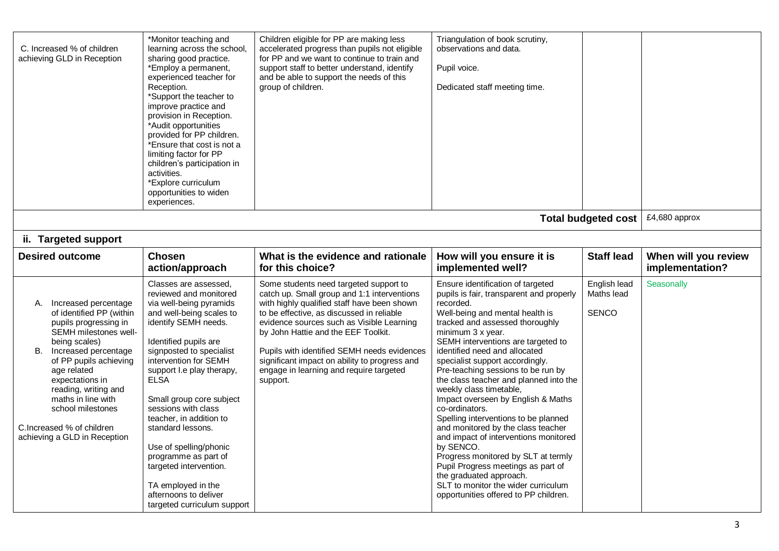| C. Increased % of children<br>achieving GLD in Reception                                                                                                                                                                                                                                                                                            | *Monitor teaching and<br>learning across the school,<br>sharing good practice.<br>*Employ a permanent,<br>experienced teacher for<br>Reception.<br>*Support the teacher to<br>improve practice and<br>provision in Reception.<br>*Audit opportunities<br>provided for PP children.<br>*Ensure that cost is not a<br>limiting factor for PP<br>children's participation in<br>activities.<br>*Explore curriculum<br>opportunities to widen<br>experiences.                                                             | Children eligible for PP are making less<br>accelerated progress than pupils not eligible<br>for PP and we want to continue to train and<br>support staff to better understand, identify<br>and be able to support the needs of this<br>group of children.                                                                                                                                                                   | Triangulation of book scrutiny,<br>observations and data.<br>Pupil voice.<br>Dedicated staff meeting time.                                                                                                                                                                                                                                                                                                                                                                                                                                                                                                                                                                                                                                                                                     |                                            |                                         |
|-----------------------------------------------------------------------------------------------------------------------------------------------------------------------------------------------------------------------------------------------------------------------------------------------------------------------------------------------------|-----------------------------------------------------------------------------------------------------------------------------------------------------------------------------------------------------------------------------------------------------------------------------------------------------------------------------------------------------------------------------------------------------------------------------------------------------------------------------------------------------------------------|------------------------------------------------------------------------------------------------------------------------------------------------------------------------------------------------------------------------------------------------------------------------------------------------------------------------------------------------------------------------------------------------------------------------------|------------------------------------------------------------------------------------------------------------------------------------------------------------------------------------------------------------------------------------------------------------------------------------------------------------------------------------------------------------------------------------------------------------------------------------------------------------------------------------------------------------------------------------------------------------------------------------------------------------------------------------------------------------------------------------------------------------------------------------------------------------------------------------------------|--------------------------------------------|-----------------------------------------|
|                                                                                                                                                                                                                                                                                                                                                     |                                                                                                                                                                                                                                                                                                                                                                                                                                                                                                                       |                                                                                                                                                                                                                                                                                                                                                                                                                              |                                                                                                                                                                                                                                                                                                                                                                                                                                                                                                                                                                                                                                                                                                                                                                                                | <b>Total budgeted cost</b>                 | £4,680 approx                           |
| ii. Targeted support                                                                                                                                                                                                                                                                                                                                |                                                                                                                                                                                                                                                                                                                                                                                                                                                                                                                       |                                                                                                                                                                                                                                                                                                                                                                                                                              |                                                                                                                                                                                                                                                                                                                                                                                                                                                                                                                                                                                                                                                                                                                                                                                                |                                            |                                         |
| <b>Desired outcome</b>                                                                                                                                                                                                                                                                                                                              | <b>Chosen</b><br>action/approach                                                                                                                                                                                                                                                                                                                                                                                                                                                                                      | What is the evidence and rationale<br>for this choice?                                                                                                                                                                                                                                                                                                                                                                       | How will you ensure it is<br>implemented well?                                                                                                                                                                                                                                                                                                                                                                                                                                                                                                                                                                                                                                                                                                                                                 | <b>Staff lead</b>                          | When will you review<br>implementation? |
| Increased percentage<br>А.<br>of identified PP (within<br>pupils progressing in<br>SEMH milestones well-<br>being scales)<br>B.<br>Increased percentage<br>of PP pupils achieving<br>age related<br>expectations in<br>reading, writing and<br>maths in line with<br>school milestones<br>C.Increased % of children<br>achieving a GLD in Reception | Classes are assessed.<br>reviewed and monitored<br>via well-being pyramids<br>and well-being scales to<br>identify SEMH needs.<br>Identified pupils are<br>signposted to specialist<br>intervention for SEMH<br>support I.e play therapy,<br><b>ELSA</b><br>Small group core subject<br>sessions with class<br>teacher, in addition to<br>standard lessons.<br>Use of spelling/phonic<br>programme as part of<br>targeted intervention.<br>TA employed in the<br>afternoons to deliver<br>targeted curriculum support | Some students need targeted support to<br>catch up. Small group and 1:1 interventions<br>with highly qualified staff have been shown<br>to be effective, as discussed in reliable<br>evidence sources such as Visible Learning<br>by John Hattie and the EEF Toolkit.<br>Pupils with identified SEMH needs evidences<br>significant impact on ability to progress and<br>engage in learning and require targeted<br>support. | Ensure identification of targeted<br>pupils is fair, transparent and properly<br>recorded.<br>Well-being and mental health is<br>tracked and assessed thoroughly<br>minimum 3 x year.<br>SEMH interventions are targeted to<br>identified need and allocated<br>specialist support accordingly.<br>Pre-teaching sessions to be run by<br>the class teacher and planned into the<br>weekly class timetable,<br>Impact overseen by English & Maths<br>co-ordinators.<br>Spelling interventions to be planned<br>and monitored by the class teacher<br>and impact of interventions monitored<br>by SENCO.<br>Progress monitored by SLT at termly<br>Pupil Progress meetings as part of<br>the graduated approach.<br>SLT to monitor the wider curriculum<br>opportunities offered to PP children. | English lead<br>Maths lead<br><b>SENCO</b> | Seasonally                              |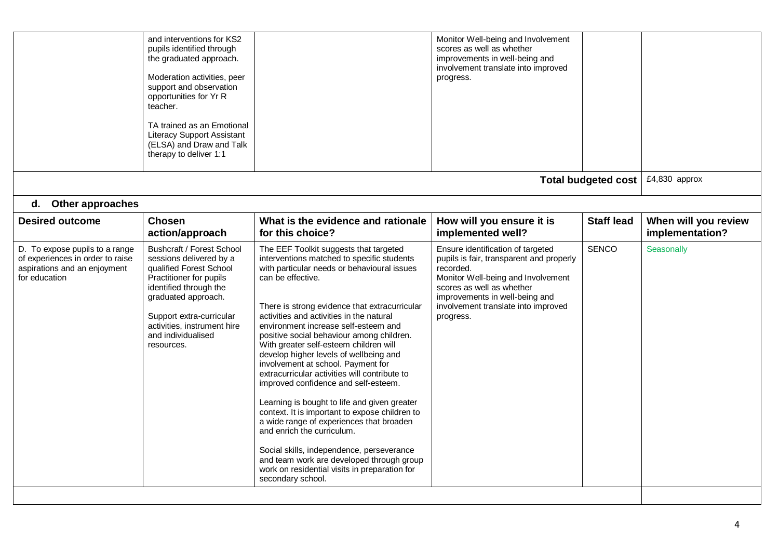|                                                                                                                     | and interventions for KS2<br>pupils identified through<br>the graduated approach.<br>Moderation activities, peer<br>support and observation<br>opportunities for Yr R<br>teacher.                                                                                 |                                                                                                                                                                                                                                                                                                                                                                                                                                                                                                                                                                                                                                                                                                                                                                                                                                                                                                           | Monitor Well-being and Involvement<br>scores as well as whether<br>improvements in well-being and<br>involvement translate into improved<br>progress.                                                                                               |                            |                                         |
|---------------------------------------------------------------------------------------------------------------------|-------------------------------------------------------------------------------------------------------------------------------------------------------------------------------------------------------------------------------------------------------------------|-----------------------------------------------------------------------------------------------------------------------------------------------------------------------------------------------------------------------------------------------------------------------------------------------------------------------------------------------------------------------------------------------------------------------------------------------------------------------------------------------------------------------------------------------------------------------------------------------------------------------------------------------------------------------------------------------------------------------------------------------------------------------------------------------------------------------------------------------------------------------------------------------------------|-----------------------------------------------------------------------------------------------------------------------------------------------------------------------------------------------------------------------------------------------------|----------------------------|-----------------------------------------|
|                                                                                                                     | TA trained as an Emotional<br><b>Literacy Support Assistant</b><br>(ELSA) and Draw and Talk<br>therapy to deliver 1:1                                                                                                                                             |                                                                                                                                                                                                                                                                                                                                                                                                                                                                                                                                                                                                                                                                                                                                                                                                                                                                                                           |                                                                                                                                                                                                                                                     |                            |                                         |
|                                                                                                                     |                                                                                                                                                                                                                                                                   |                                                                                                                                                                                                                                                                                                                                                                                                                                                                                                                                                                                                                                                                                                                                                                                                                                                                                                           |                                                                                                                                                                                                                                                     | <b>Total budgeted cost</b> | £4,830 approx                           |
| d. Other approaches                                                                                                 |                                                                                                                                                                                                                                                                   |                                                                                                                                                                                                                                                                                                                                                                                                                                                                                                                                                                                                                                                                                                                                                                                                                                                                                                           |                                                                                                                                                                                                                                                     |                            |                                         |
| <b>Desired outcome</b>                                                                                              | <b>Chosen</b><br>action/approach                                                                                                                                                                                                                                  | What is the evidence and rationale<br>for this choice?                                                                                                                                                                                                                                                                                                                                                                                                                                                                                                                                                                                                                                                                                                                                                                                                                                                    | How will you ensure it is<br>implemented well?                                                                                                                                                                                                      | <b>Staff lead</b>          | When will you review<br>implementation? |
| D. To expose pupils to a range<br>of experiences in order to raise<br>aspirations and an enjoyment<br>for education | <b>Bushcraft / Forest School</b><br>sessions delivered by a<br>qualified Forest School<br>Practitioner for pupils<br>identified through the<br>graduated approach.<br>Support extra-curricular<br>activities, instrument hire<br>and individualised<br>resources. | The EEF Toolkit suggests that targeted<br>interventions matched to specific students<br>with particular needs or behavioural issues<br>can be effective.<br>There is strong evidence that extracurricular<br>activities and activities in the natural<br>environment increase self-esteem and<br>positive social behaviour among children.<br>With greater self-esteem children will<br>develop higher levels of wellbeing and<br>involvement at school. Payment for<br>extracurricular activities will contribute to<br>improved confidence and self-esteem.<br>Learning is bought to life and given greater<br>context. It is important to expose children to<br>a wide range of experiences that broaden<br>and enrich the curriculum.<br>Social skills, independence, perseverance<br>and team work are developed through group<br>work on residential visits in preparation for<br>secondary school. | Ensure identification of targeted<br>pupils is fair, transparent and properly<br>recorded.<br>Monitor Well-being and Involvement<br>scores as well as whether<br>improvements in well-being and<br>involvement translate into improved<br>progress. | <b>SENCO</b>               | Seasonally                              |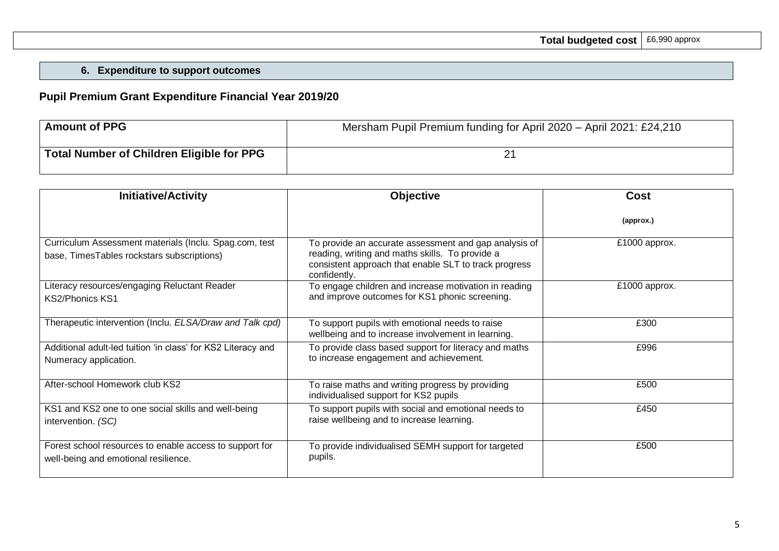## **6. Expenditure to support outcomes**

## **Pupil Premium Grant Expenditure Financial Year 2019/20**

| <b>Amount of PPG</b>                      | Mersham Pupil Premium funding for April 2020 - April 2021: £24,210 |
|-------------------------------------------|--------------------------------------------------------------------|
| Total Number of Children Eligible for PPG | ク                                                                  |

| <b>Initiative/Activity</b>                                                                           | <b>Objective</b>                                                                                                                                                                  | <b>Cost</b>   |
|------------------------------------------------------------------------------------------------------|-----------------------------------------------------------------------------------------------------------------------------------------------------------------------------------|---------------|
|                                                                                                      |                                                                                                                                                                                   | (approx.)     |
| Curriculum Assessment materials (Inclu. Spag.com, test<br>base, TimesTables rockstars subscriptions) | To provide an accurate assessment and gap analysis of<br>reading, writing and maths skills. To provide a<br>consistent approach that enable SLT to track progress<br>confidently. | £1000 approx. |
| Literacy resources/engaging Reluctant Reader<br><b>KS2/Phonics KS1</b>                               | To engage children and increase motivation in reading<br>and improve outcomes for KS1 phonic screening.                                                                           | £1000 approx. |
| Therapeutic intervention (Inclu. ELSA/Draw and Talk cpd)                                             | To support pupils with emotional needs to raise<br>wellbeing and to increase involvement in learning.                                                                             | £300          |
| Additional adult-led tuition 'in class' for KS2 Literacy and<br>Numeracy application.                | To provide class based support for literacy and maths<br>to increase engagement and achievement.                                                                                  | £996          |
| After-school Homework club KS2                                                                       | To raise maths and writing progress by providing<br>individualised support for KS2 pupils                                                                                         | £500          |
| KS1 and KS2 one to one social skills and well-being<br>intervention. (SC)                            | To support pupils with social and emotional needs to<br>raise wellbeing and to increase learning.                                                                                 | £450          |
| Forest school resources to enable access to support for<br>well-being and emotional resilience.      | To provide individualised SEMH support for targeted<br>pupils.                                                                                                                    | £500          |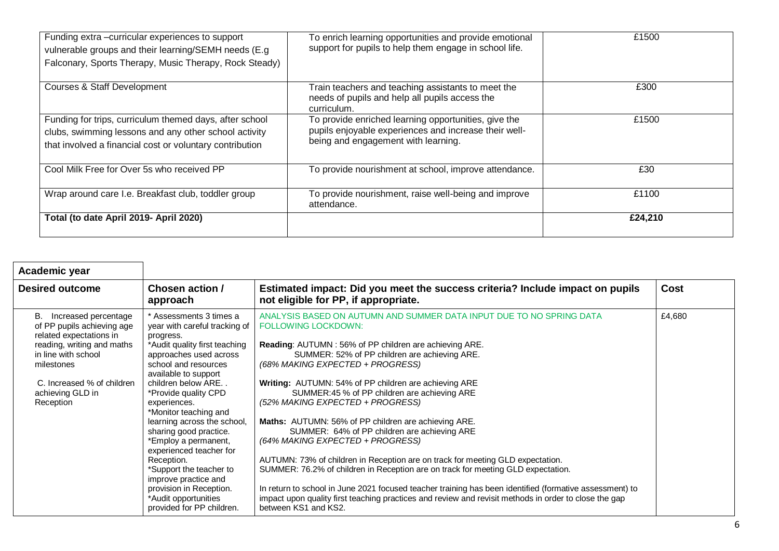| Funding extra -curricular experiences to support<br>vulnerable groups and their learning/SEMH needs (E.g.<br>Falconary, Sports Therapy, Music Therapy, Rock Steady)          | To enrich learning opportunities and provide emotional<br>support for pupils to help them engage in school life.                                     | £1500   |
|------------------------------------------------------------------------------------------------------------------------------------------------------------------------------|------------------------------------------------------------------------------------------------------------------------------------------------------|---------|
| <b>Courses &amp; Staff Development</b>                                                                                                                                       | Train teachers and teaching assistants to meet the<br>needs of pupils and help all pupils access the<br>curriculum.                                  | £300    |
| Funding for trips, curriculum themed days, after school<br>clubs, swimming lessons and any other school activity<br>that involved a financial cost or voluntary contribution | To provide enriched learning opportunities, give the<br>pupils enjoyable experiences and increase their well-<br>being and engagement with learning. | £1500   |
| Cool Milk Free for Over 5s who received PP                                                                                                                                   | To provide nourishment at school, improve attendance.                                                                                                | £30     |
| Wrap around care I.e. Breakfast club, toddler group                                                                                                                          | To provide nourishment, raise well-being and improve<br>attendance.                                                                                  | £1100   |
| Total (to date April 2019- April 2020)                                                                                                                                       |                                                                                                                                                      | £24,210 |

| Academic year                                                                                                                                                                                                         |                                                                                                                                                                                                                                                                                                                                                                                                                                                                                                                                      |                                                                                                                                                                                                                                                                                                                                                                                                                                                                                                                                                                                                                                                                                                                                                                                                                                                                                                                                                                            |        |
|-----------------------------------------------------------------------------------------------------------------------------------------------------------------------------------------------------------------------|--------------------------------------------------------------------------------------------------------------------------------------------------------------------------------------------------------------------------------------------------------------------------------------------------------------------------------------------------------------------------------------------------------------------------------------------------------------------------------------------------------------------------------------|----------------------------------------------------------------------------------------------------------------------------------------------------------------------------------------------------------------------------------------------------------------------------------------------------------------------------------------------------------------------------------------------------------------------------------------------------------------------------------------------------------------------------------------------------------------------------------------------------------------------------------------------------------------------------------------------------------------------------------------------------------------------------------------------------------------------------------------------------------------------------------------------------------------------------------------------------------------------------|--------|
| <b>Desired outcome</b>                                                                                                                                                                                                | Chosen action /<br>approach                                                                                                                                                                                                                                                                                                                                                                                                                                                                                                          | Estimated impact: Did you meet the success criteria? Include impact on pupils<br>not eligible for PP, if appropriate.                                                                                                                                                                                                                                                                                                                                                                                                                                                                                                                                                                                                                                                                                                                                                                                                                                                      | Cost   |
| В.<br>Increased percentage<br>of PP pupils achieving age<br>related expectations in<br>reading, writing and maths<br>in line with school<br>milestones<br>C. Increased % of children<br>achieving GLD in<br>Reception | * Assessments 3 times a<br>year with careful tracking of<br>progress.<br>*Audit quality first teaching<br>approaches used across<br>school and resources<br>available to support<br>children below ARE<br>*Provide quality CPD<br>experiences.<br>*Monitor teaching and<br>learning across the school,<br>sharing good practice.<br>*Employ a permanent,<br>experienced teacher for<br>Reception.<br>*Support the teacher to<br>improve practice and<br>provision in Reception.<br>*Audit opportunities<br>provided for PP children. | ANALYSIS BASED ON AUTUMN AND SUMMER DATA INPUT DUE TO NO SPRING DATA<br><b>FOLLOWING LOCKDOWN:</b><br><b>Reading: AUTUMN: 56% of PP children are achieving ARE.</b><br>SUMMER: 52% of PP children are achieving ARE.<br>(68% MAKING EXPECTED + PROGRESS)<br><b>Writing: AUTUMN: 54% of PP children are achieving ARE</b><br>SUMMER:45 % of PP children are achieving ARE<br>(52% MAKING EXPECTED + PROGRESS)<br>Maths: AUTUMN: 56% of PP children are achieving ARE.<br>SUMMER: 64% of PP children are achieving ARE<br>(64% MAKING EXPECTED + PROGRESS)<br>AUTUMN: 73% of children in Reception are on track for meeting GLD expectation.<br>SUMMER: 76.2% of children in Reception are on track for meeting GLD expectation.<br>In return to school in June 2021 focused teacher training has been identified (formative assessment) to<br>impact upon quality first teaching practices and review and revisit methods in order to close the gap<br>between KS1 and KS2. | £4,680 |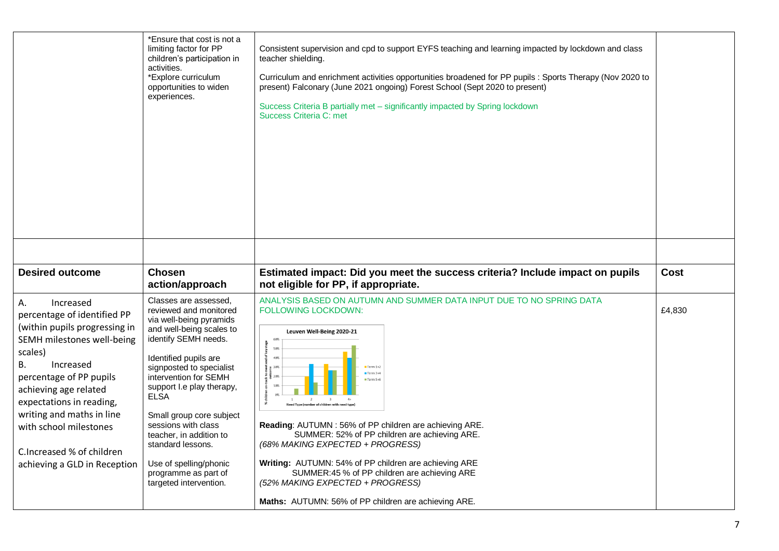|                                                                                                                                                                                                                                                                                                                                                 | *Ensure that cost is not a<br>limiting factor for PP<br>children's participation in<br>activities.<br>*Explore curriculum<br>opportunities to widen<br>experiences.                                                                                                                                                                                         | Consistent supervision and cpd to support EYFS teaching and learning impacted by lockdown and class<br>teacher shielding.<br>Curriculum and enrichment activities opportunities broadened for PP pupils : Sports Therapy (Nov 2020 to<br>present) Falconary (June 2021 ongoing) Forest School (Sept 2020 to present)<br>Success Criteria B partially met - significantly impacted by Spring lockdown<br>Success Criteria C: met                      |        |
|-------------------------------------------------------------------------------------------------------------------------------------------------------------------------------------------------------------------------------------------------------------------------------------------------------------------------------------------------|-------------------------------------------------------------------------------------------------------------------------------------------------------------------------------------------------------------------------------------------------------------------------------------------------------------------------------------------------------------|------------------------------------------------------------------------------------------------------------------------------------------------------------------------------------------------------------------------------------------------------------------------------------------------------------------------------------------------------------------------------------------------------------------------------------------------------|--------|
| <b>Desired outcome</b>                                                                                                                                                                                                                                                                                                                          | <b>Chosen</b>                                                                                                                                                                                                                                                                                                                                               | Estimated impact: Did you meet the success criteria? Include impact on pupils                                                                                                                                                                                                                                                                                                                                                                        | Cost   |
|                                                                                                                                                                                                                                                                                                                                                 | action/approach                                                                                                                                                                                                                                                                                                                                             | not eligible for PP, if appropriate.                                                                                                                                                                                                                                                                                                                                                                                                                 |        |
| А.<br>Increased<br>percentage of identified PP<br>(within pupils progressing in<br>SEMH milestones well-being<br>scales)<br>В.<br>Increased<br>percentage of PP pupils<br>achieving age related<br>expectations in reading,<br>writing and maths in line<br>with school milestones<br>C.Increased % of children<br>achieving a GLD in Reception | Classes are assessed,<br>reviewed and monitored<br>via well-being pyramids<br>and well-being scales to<br>identify SEMH needs.<br>Identified pupils are<br>signposted to specialist<br>intervention for SEMH<br>support I.e play therapy,<br><b>ELSA</b><br>Small group core subject<br>sessions with class<br>teacher, in addition to<br>standard lessons. | ANALYSIS BASED ON AUTUMN AND SUMMER DATA INPUT DUE TO NO SPRING DATA<br><b>FOLLOWING LOCKDOWN:</b><br>Leuven Well-Being 2020-21<br>nd of key stage<br>50%<br>40%<br>Term $1+2$<br>30%<br>$Term 3+4$<br>$\frac{9}{16}$ $\frac{1}{8}$ 20%<br>Term 5+6<br>Need Type (number of children with need type)<br>Reading: AUTUMN : 56% of PP children are achieving ARE.<br>SUMMER: 52% of PP children are achieving ARE.<br>(68% MAKING EXPECTED + PROGRESS) | £4,830 |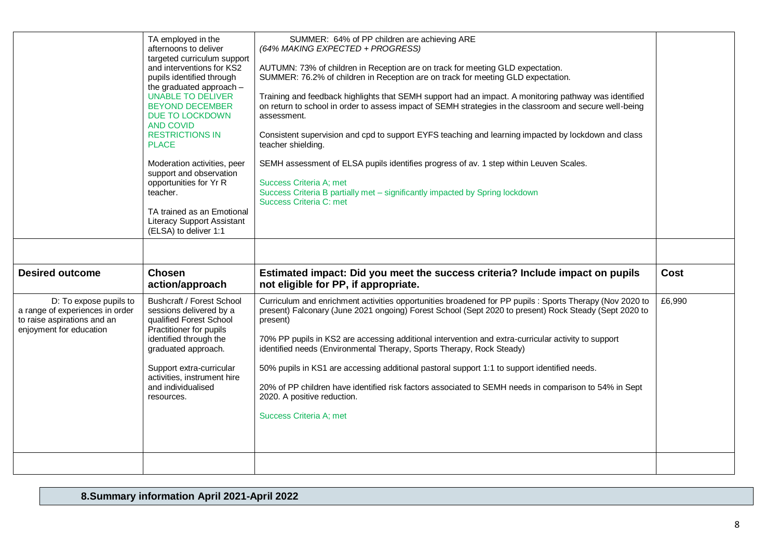|                                                                                                                     | TA employed in the<br>afternoons to deliver<br>targeted curriculum support<br>and interventions for KS2<br>pupils identified through<br>the graduated approach -<br><b>UNABLE TO DELIVER</b><br><b>BEYOND DECEMBER</b><br>DUE TO LOCKDOWN<br><b>AND COVID</b><br><b>RESTRICTIONS IN</b><br><b>PLACE</b><br>Moderation activities, peer<br>support and observation<br>opportunities for Yr R<br>teacher.<br>TA trained as an Emotional<br><b>Literacy Support Assistant</b><br>(ELSA) to deliver 1:1 | SUMMER: 64% of PP children are achieving ARE<br>(64% MAKING EXPECTED + PROGRESS)<br>AUTUMN: 73% of children in Reception are on track for meeting GLD expectation.<br>SUMMER: 76.2% of children in Reception are on track for meeting GLD expectation.<br>Training and feedback highlights that SEMH support had an impact. A monitoring pathway was identified<br>on return to school in order to assess impact of SEMH strategies in the classroom and secure well-being<br>assessment.<br>Consistent supervision and cpd to support EYFS teaching and learning impacted by lockdown and class<br>teacher shielding.<br>SEMH assessment of ELSA pupils identifies progress of av. 1 step within Leuven Scales.<br>Success Criteria A; met<br>Success Criteria B partially met - significantly impacted by Spring lockdown<br>Success Criteria C: met |        |
|---------------------------------------------------------------------------------------------------------------------|-----------------------------------------------------------------------------------------------------------------------------------------------------------------------------------------------------------------------------------------------------------------------------------------------------------------------------------------------------------------------------------------------------------------------------------------------------------------------------------------------------|--------------------------------------------------------------------------------------------------------------------------------------------------------------------------------------------------------------------------------------------------------------------------------------------------------------------------------------------------------------------------------------------------------------------------------------------------------------------------------------------------------------------------------------------------------------------------------------------------------------------------------------------------------------------------------------------------------------------------------------------------------------------------------------------------------------------------------------------------------|--------|
| <b>Desired outcome</b>                                                                                              | <b>Chosen</b>                                                                                                                                                                                                                                                                                                                                                                                                                                                                                       |                                                                                                                                                                                                                                                                                                                                                                                                                                                                                                                                                                                                                                                                                                                                                                                                                                                        |        |
|                                                                                                                     | action/approach                                                                                                                                                                                                                                                                                                                                                                                                                                                                                     | Estimated impact: Did you meet the success criteria? Include impact on pupils<br>not eligible for PP, if appropriate.                                                                                                                                                                                                                                                                                                                                                                                                                                                                                                                                                                                                                                                                                                                                  | Cost   |
| D: To expose pupils to<br>a range of experiences in order<br>to raise aspirations and an<br>enjoyment for education | <b>Bushcraft / Forest School</b><br>sessions delivered by a<br>qualified Forest School<br>Practitioner for pupils<br>identified through the<br>graduated approach.<br>Support extra-curricular<br>activities, instrument hire<br>and individualised<br>resources.                                                                                                                                                                                                                                   | Curriculum and enrichment activities opportunities broadened for PP pupils : Sports Therapy (Nov 2020 to<br>present) Falconary (June 2021 ongoing) Forest School (Sept 2020 to present) Rock Steady (Sept 2020 to<br>present)<br>70% PP pupils in KS2 are accessing additional intervention and extra-curricular activity to support<br>identified needs (Environmental Therapy, Sports Therapy, Rock Steady)<br>50% pupils in KS1 are accessing additional pastoral support 1:1 to support identified needs.<br>20% of PP children have identified risk factors associated to SEMH needs in comparison to 54% in Sept<br>2020. A positive reduction.<br>Success Criteria A; met                                                                                                                                                                       | £6,990 |
|                                                                                                                     |                                                                                                                                                                                                                                                                                                                                                                                                                                                                                                     |                                                                                                                                                                                                                                                                                                                                                                                                                                                                                                                                                                                                                                                                                                                                                                                                                                                        |        |